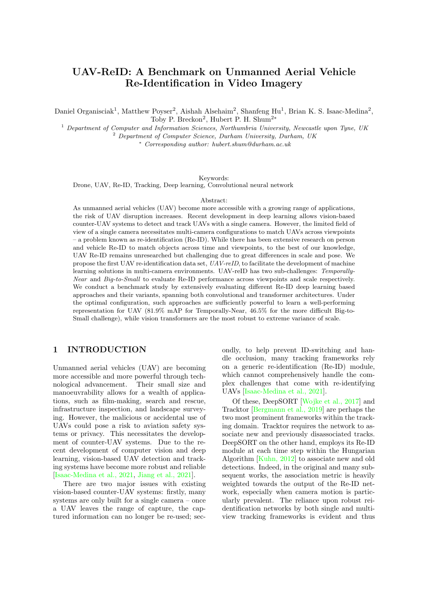# <span id="page-0-0"></span>UAV-ReID: A Benchmark on Unmanned Aerial Vehicle Re-Identification in Video Imagery

Daniel Organisciak<sup>1</sup>, Matthew Poyser<sup>2</sup>, Aishah Alsehaim<sup>2</sup>, Shanfeng Hu<sup>1</sup>, Brian K. S. Isaac-Medina<sup>2</sup>, Toby P. Breckon<sup>2</sup>, Hubert P. H. Shum<sup>2∗</sup>

 $1$  Department of Computer and Information Sciences, Northumbria University, Newcastle upon Tyne, UK <sup>2</sup> Department of Computer Science, Durham University, Durham, UK

<sup>∗</sup> Corresponding author: hubert.shum@durham.ac.uk

Keywords:

Drone, UAV, Re-ID, Tracking, Deep learning, Convolutional neural network

#### Abstract:

As unmanned aerial vehicles (UAV) become more accessible with a growing range of applications, the risk of UAV disruption increases. Recent development in deep learning allows vision-based counter-UAV systems to detect and track UAVs with a single camera. However, the limited field of view of a single camera necessitates multi-camera configurations to match UAVs across viewpoints – a problem known as re-identification (Re-ID). While there has been extensive research on person and vehicle Re-ID to match objects across time and viewpoints, to the best of our knowledge, UAV Re-ID remains unresearched but challenging due to great differences in scale and pose. We propose the first UAV re-identification data set, UAV-reID, to facilitate the development of machine learning solutions in multi-camera environments. UAV-reID has two sub-challenges: Temporally-Near and Big-to-Small to evaluate Re-ID performance across viewpoints and scale respectively. We conduct a benchmark study by extensively evaluating different Re-ID deep learning based approaches and their variants, spanning both convolutional and transformer architectures. Under the optimal configuration, such approaches are sufficiently powerful to learn a well-performing representation for UAV (81.9% mAP for Temporally-Near, 46.5% for the more difficult Big-to-Small challenge), while vision transformers are the most robust to extreme variance of scale.

## 1 INTRODUCTION

Unmanned aerial vehicles (UAV) are becoming more accessible and more powerful through technological advancement. Their small size and manoeuvrability allows for a wealth of applications, such as film-making, search and rescue, infrastructure inspection, and landscape surveying. However, the malicious or accidental use of UAVs could pose a risk to aviation safety systems or privacy. This necessitates the development of counter-UAV systems. Due to the recent development of computer vision and deep learning, vision-based UAV detection and tracking systems have become more robust and reliable [\[Isaac-Medina et al., 2021,](#page-10-0) [Jiang et al., 2021\]](#page-10-1).

There are two major issues with existing vision-based counter-UAV systems: firstly, many systems are only built for a single camera – once a UAV leaves the range of capture, the captured information can no longer be re-used; secondly, to help prevent ID-switching and handle occlusion, many tracking frameworks rely on a generic re-identification (Re-ID) module, which cannot comprehensively handle the complex challenges that come with re-identifying UAVs [\[Isaac-Medina et al., 2021\]](#page-10-0).

Of these, DeepSORT [\[Wojke et al., 2017\]](#page-11-0) and Tracktor [\[Bergmann et al., 2019\]](#page-9-0) are perhaps the two most prominent frameworks within the tracking domain. Tracktor requires the network to associate new and previously disassociated tracks. DeepSORT on the other hand, employs its Re-ID module at each time step within the Hungarian Algorithm [\[Kuhn, 2012\]](#page-10-2) to associate new and old detections. Indeed, in the original and many subsequent works, the association metric is heavily weighted towards the output of the Re-ID network, especially when camera motion is particularly prevalent. The reliance upon robust reidentification networks by both single and multiview tracking frameworks is evident and thus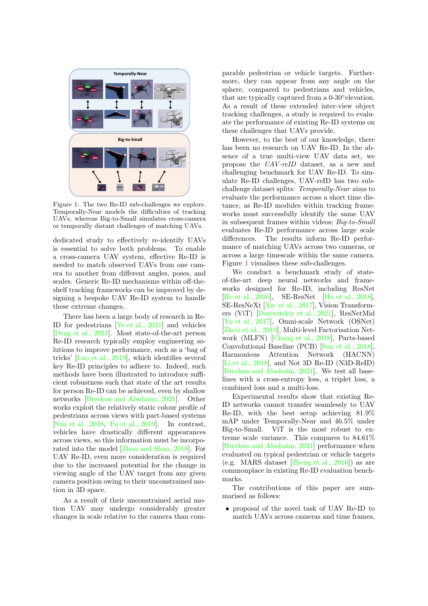<span id="page-1-1"></span><span id="page-1-0"></span>

Figure 1: The two Re-ID sub-challenges we explore. Temporally-Near models the difficulties of tracking UAVs, whereas Big-to-Small simulates cross-camera or temporally distant challenges of matching UAVs.

dedicated study to effectively re-identify UAVs is essential to solve both problems. To enable a cross-camera UAV system, effective Re-ID is needed to match observed UAVs from one camera to another from different angles, poses, and scales. Generic Re-ID mechanisms within off-theshelf tracking frameworks can be improved by designing a bespoke UAV Re-ID system to handle these extreme changes.

There has been a large body of research in Re-ID for pedestrians [\[Ye et al., 2021\]](#page-11-1) and vehicles [\[Deng et al., 2021\]](#page-9-1). Most state-of-the-art person Re-ID research typically employ engineering solutions to improve performance, such as a 'bag of tricks' [\[Luo et al., 2019\]](#page-10-3), which identifies several key Re-ID principles to adhere to. Indeed, such methods have been illustrated to introduce sufficient robustness such that state of the art results for person Re-ID can be achieved, even by shallow networks [\[Breckon and Alsehaim, 2021\]](#page-9-2). Other works exploit the relatively static colour profile of pedestrians across views with part-based systems [\[Sun et al., 2018,](#page-11-2) [Fu et al., 2019\]](#page-10-4). In contrast, vehicles have drastically different appearances across views, so this information must be incorporated into the model [\[Zhou and Shao, 2018\]](#page-11-3). For UAV Re-ID, even more consideration is required due to the increased potential for the change in viewing angle of the UAV target from any given camera position owing to their unconstrained motion in 3D space.

As a result of their unconstrained aerial motion UAV may undergo considerably greater changes in scale relative to the camera than com-

parable pedestrian or vehicle targets. Furthermore, they can appear from any angle on the sphere, compared to pedestrians and vehicles, that are typically captured from a 0-30° elevation. As a result of these extended inter-view object tracking challenges, a study is required to evaluate the performance of existing Re-ID systems on these challenges that UAVs provide.

However, to the best of our knowledge, there has been no research on UAV Re-ID. In the absence of a true multi-view UAV data set, we propose the UAV-reID dataset, as a new and challenging benchmark for UAV Re-ID. To simulate Re-ID challenges, UAV-reID has two subchallenge dataset splits: Temporally-Near aims to evaluate the performance across a short time distance, as Re-ID modules within tracking frameworks must successfully identify the same UAV in subsequent frames within videos; Big-to-Small evaluates Re-ID performance across large scale differences. The results inform Re-ID performance of matching UAVs across two cameras, or across a large timescale within the same camera. Figure [1](#page-1-0) visualises these sub-challenges.

We conduct a benchmark study of stateof-the-art deep neural networks and frameworks designed for Re-ID, including ResNet [\[He et al., 2016\]](#page-10-5), SE-ResNet [\[Hu et al., 2018\]](#page-10-6), SE-ResNeXt [\[Xie et al., 2017\]](#page-11-4), Vision Transformers (ViT) [\[Dosovitskiy et al., 2021\]](#page-10-7), ResNetMid [\[Yu et al., 2017\]](#page-11-5), Omni-scale Network (OSNet) [\[Zhou et al., 2019\]](#page-11-6), Multi-level Factorisation Network (MLFN) [\[Chang et al., 2018\]](#page-9-3), Parts-based Convolutional Baseline (PCB) [\[Sun et al., 2018\]](#page-11-2), Harmonious Attention Network (HACNN) [\[Li et al., 2018\]](#page-10-8), and Not 3D Re-ID (N3D-ReID) [\[Breckon and Alsehaim, 2021\]](#page-9-2). We test all baselines with a cross-entropy loss, a triplet loss, a combined loss and a multi-loss.

Experimental results show that existing Re-ID networks cannot transfer seamlessly to UAV Re-ID, with the best setup achieving 81.9% mAP under Temporally-Near and 46.5% under Big-to-Small. ViT is the most robust to extreme scale variance. This compares to 84.61% [\[Breckon and Alsehaim, 2021\]](#page-9-2) performance when evaluated on typical pedestrian or vehicle targets (e.g. MARS dataset [\[Zheng et al., 2016\]](#page-11-7)) as are commonplace in existing Re-ID evaluation benchmarks.

The contributions of this paper are summarised as follows:

• proposal of the novel task of UAV Re-ID to match UAVs across cameras and time frames,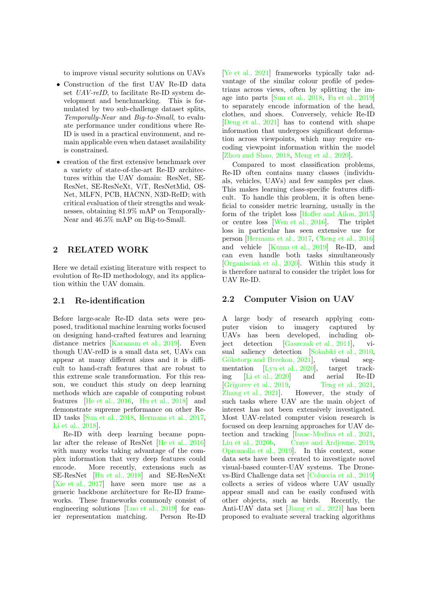<span id="page-2-0"></span>to improve visual security solutions on UAVs

- Construction of the first UAV Re-ID data set *UAV-reID*, to facilitate Re-ID system development and benchmarking. This is formulated by two sub-challenge dataset splits, Temporally-Near and Big-to-Small, to evaluate performance under conditions where Re-ID is used in a practical environment, and remain applicable even when dataset availability is constrained.
- creation of the first extensive benchmark over a variety of state-of-the-art Re-ID architectures within the UAV domain: ResNet, SE-ResNet, SE-ResNeXt, ViT, ResNetMid, OS-Net, MLFN, PCB, HACNN, N3D-ReID; with critical evaluation of their strengths and weaknesses, obtaining 81.9% mAP on Temporally-Near and 46.5% mAP on Big-to-Small.

## 2 RELATED WORK

Here we detail existing literature with respect to evolution of Re-ID methodology, and its application within the UAV domain.

#### 2.1 Re-identification

Before large-scale Re-ID data sets were proposed, traditional machine learning works focused on designing hand-crafted features and learning distance metrics [\[Karanam et al., 2019\]](#page-10-9). Even though UAV-reID is a small data set, UAVs can appear at many different sizes and it is difficult to hand-craft features that are robust to this extreme scale transformation. For this reason, we conduct this study on deep learning methods which are capable of computing robust features [\[He et al., 2016,](#page-10-5) [Hu et al., 2018\]](#page-10-6) and demonstrate supreme performance on other Re-ID tasks [\[Sun et al., 2018,](#page-11-2) [Hermans et al., 2017,](#page-10-10) [Li et al., 2018\]](#page-10-8).

Re-ID with deep learning became popular after the release of ResNet [\[He et al., 2016\]](#page-10-5) with many works taking advantage of the complex information that very deep features could encode. More recently, extensions such as SE-ResNet [\[Hu et al., 2018\]](#page-10-6) and SE-ResNeXt [\[Xie et al., 2017\]](#page-11-4) have seen more use as a generic backbone architecture for Re-ID frameworks. These frameworks commonly consist of engineering solutions [\[Luo et al., 2019\]](#page-10-3) for easier representation matching. Person Re-ID

[\[Ye et al., 2021\]](#page-11-1) frameworks typically take advantage of the similar colour profile of pedestrians across views, often by splitting the image into parts [\[Sun et al., 2018,](#page-11-2) [Fu et al., 2019\]](#page-10-4) to separately encode information of the head, clothes, and shoes. Conversely, vehicle Re-ID [\[Deng et al., 2021\]](#page-9-1) has to contend with shape information that undergoes significant deformation across viewpoints, which may require encoding viewpoint information within the model [\[Zhou and Shao, 2018,](#page-11-3) [Meng et al., 2020\]](#page-10-11).

Compared to most classification problems, Re-ID often contains many classes (individuals, vehicles, UAVs) and few samples per class. This makes learning class-specific features difficult. To handle this problem, it is often beneficial to consider metric learning, usually in the form of the triplet loss [\[Hoffer and Ailon, 2015\]](#page-10-12) or centre loss [\[Wen et al., 2016\]](#page-11-8). The triplet loss in particular has seen extensive use for person [\[Hermans et al., 2017,](#page-10-10) [Cheng et al., 2016\]](#page-9-4) and vehicle [\[Kuma et al., 2019\]](#page-10-13) Re-ID, and can even handle both tasks simultaneously [\[Organisciak et al., 2020\]](#page-11-9). Within this study it is therefore natural to consider the triplet loss for UAV Re-ID.

#### 2.2 Computer Vision on UAV

A large body of research applying computer vision to imagery captured by UAVs has been developed, including object detection [\[Gaszczak et al., 2011\]](#page-10-14), visual saliency detection [\[Sokalski et al., 2010,](#page-11-10) Gökstorp and Breckon, 2021], visual segmentation [\[Lyu et al., 2020\]](#page-10-16), target tracking [\[Li et al., 2020\]](#page-10-17) and aerial Re-ID [\[Grigorev et al., 2019,](#page-10-18) [Teng et al., 2021,](#page-11-11) [Zhang et al., 2021\]](#page-11-12). However, the study of such tasks where UAV are the main object of interest has not been extensively investigated. Most UAV-related computer vision research is focused on deep learning approaches for UAV detection and tracking [\[Isaac-Medina et al., 2021,](#page-10-0) [Liu et al., 2020b,](#page-10-19) [Craye and Ardjoune, 2019,](#page-9-5) [Opromolla et al., 2019\]](#page-11-13). In this context, some data sets have been created to investigate novel visual-based counter-UAV systems. The Dronevs-Bird Challenge data set [\[Coluccia et al., 2019\]](#page-9-6) collects a series of videos where UAV usually appear small and can be easily confused with other objects, such as birds. Recently, the Anti-UAV data set [\[Jiang et al., 2021\]](#page-10-1) has been proposed to evaluate several tracking algorithms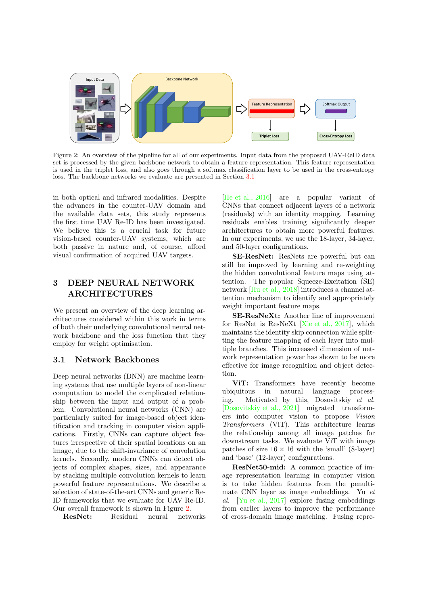<span id="page-3-2"></span><span id="page-3-1"></span>

Figure 2: An overview of the pipeline for all of our experiments. Input data from the proposed UAV-ReID data set is processed by the given backbone network to obtain a feature representation. This feature representation is used in the triplet loss, and also goes through a softmax classification layer to be used in the cross-entropy loss. The backbone networks we evaluate are presented in Section [3.1](#page-3-0)

in both optical and infrared modalities. Despite the advances in the counter-UAV domain and the available data sets, this study represents the first time UAV Re-ID has been investigated. We believe this is a crucial task for future vision-based counter-UAV systems, which are both passive in nature and, of course, afford visual confirmation of acquired UAV targets.

## 3 DEEP NEURAL NETWORK ARCHITECTURES

We present an overview of the deep learning architectures considered within this work in terms of both their underlying convolutional neural network backbone and the loss function that they employ for weight optimisation.

## <span id="page-3-0"></span>3.1 Network Backbones

Deep neural networks (DNN) are machine learning systems that use multiple layers of non-linear computation to model the complicated relationship between the input and output of a problem. Convolutional neural networks (CNN) are particularly suited for image-based object identification and tracking in computer vision applications. Firstly, CNNs can capture object features irrespective of their spatial locations on an image, due to the shift-invariance of convolution kernels. Secondly, modern CNNs can detect objects of complex shapes, sizes, and appearance by stacking multiple convolution kernels to learn powerful feature representations. We describe a selection of state-of-the-art CNNs and generic Re-ID frameworks that we evaluate for UAV Re-ID. Our overall framework is shown in Figure [2.](#page-3-1)

ResNet: Residual neural networks

[\[He et al., 2016\]](#page-10-5) are a popular variant of CNNs that connect adjacent layers of a network (residuals) with an identity mapping. Learning residuals enables training significantly deeper architectures to obtain more powerful features. In our experiments, we use the 18-layer, 34-layer, and 50-layer configurations.

SE-ResNet: ResNets are powerful but can still be improved by learning and re-weighting the hidden convolutional feature maps using attention. The popular Squeeze-Excitation (SE) network [\[Hu et al., 2018\]](#page-10-6) introduces a channel attention mechanism to identify and appropriately weight important feature maps.

SE-ResNeXt: Another line of improvement for ResNet is ResNeXt [\[Xie et al., 2017\]](#page-11-4), which maintains the identity skip connection while splitting the feature mapping of each layer into multiple branches. This increased dimension of network representation power has shown to be more effective for image recognition and object detection.

ViT: Transformers have recently become ubiquitous in natural language processing. Motivated by this, Dosovitskiy et al. [\[Dosovitskiy et al., 2021\]](#page-10-7) migrated transformers into computer vision to propose Vision Transformers (ViT). This architecture learns the relationship among all image patches for downstream tasks. We evaluate ViT with image patches of size  $16 \times 16$  with the 'small' (8-layer) and 'base' (12-layer) configurations.

ResNet50-mid: A common practice of image representation learning in computer vision is to take hidden features from the penultimate CNN layer as image embeddings. Yu et al. [\[Yu et al., 2017\]](#page-11-5) explore fusing embeddings from earlier layers to improve the performance of cross-domain image matching. Fusing repre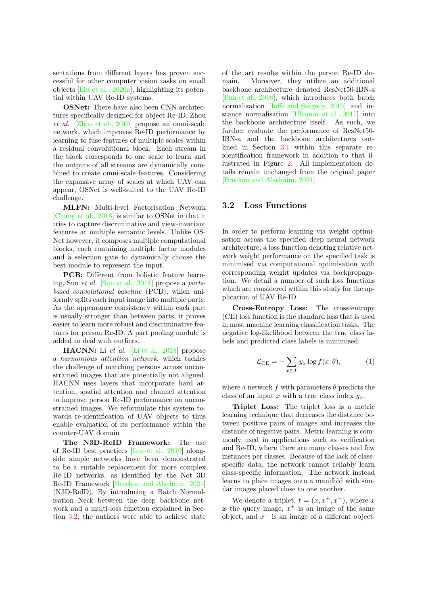<span id="page-4-0"></span>sentations from different layers has proven successful for other computer vision tasks on small objects [\[Liu et al., 2020a\]](#page-10-20), highlighting its potential within UAV Re-ID systems.

OSNet: There have also been CNN architectures specifically designed for object Re-ID. Zhou et al. [\[Zhou et al., 2019\]](#page-11-6) propose an omni-scale network, which improves Re-ID performance by learning to fuse features of multiple scales within a residual convolutional block. Each stream in the block corresponds to one scale to learn and the outputs of all streams are dynamically combined to create omni-scale features. Considering the expansive array of scales at which UAV can appear, OSNet is well-suited to the UAV Re-ID challenge.

MLFN: Multi-level Factorisation Network [\[Chang et al., 2018\]](#page-9-3) is similar to OSNet in that it tries to capture discriminative and view-invariant features at multiple semantic levels. Unlike OS-Net however, it composes multiple computational blocks, each containing multiple factor modules and a selection gate to dynamically choose the best module to represent the input.

PCB: Different from holistic feature learning, Sun et al. [\[Sun et al., 2018\]](#page-11-2) propose a partsbased convolutional baseline (PCB), which uniformly splits each input image into multiple parts. As the appearance consistency within each part is usually stronger than between parts, it proves easier to learn more robust and discriminative features for person Re-ID. A part pooling module is added to deal with outliers.

HACNN: Li et al. [\[Li et al., 2018\]](#page-10-8) propose a harmonious attention network, which tackles the challenge of matching persons across unconstrained images that are potentially not aligned. HACNN uses layers that incorporate hard attention, spatial attention and channel attention to improve person Re-ID performance on unconstrained images. We reformulate this system towards re-identification of UAV objects to thus enable evaluation of its performance within the counter-UAV domain

The N3D-ReID Framework: The use of Re-ID best practices [\[Luo et al., 2019\]](#page-10-3) alongside simple networks have been demonstrated to be a suitable replacement for more complex Re-ID networks, as identified by the Not 3D Re-ID Framework [\[Breckon and Alsehaim, 2021\]](#page-9-2) (N3D-ReID). By introducing a Batch Normalisation Neck between the deep backbone network and a multi-loss function explained in Section [3.2,](#page-5-0) the authors were able to achieve state of the art results within the person Re-ID domain. Moreover, they utilize an additional backbone architecture denoted ResNet50-IBN-a [\[Pan et al., 2018\]](#page-11-14), which introduces both batch normalisation [\[Ioffe and Szegedy, 2015\]](#page-10-21) and instance normalisation [\[Ulyanov et al., 2017\]](#page-11-15) into the backbone architecture itself. As such, we further evaluate the performance of ResNet50- IBN-a and the backbone architectures outlined in Section [3.1](#page-3-0) within this separate reidentification framework in addition to that illustrated in Figure [2.](#page-3-1) All implementation details remain unchanged from the original paper [\[Breckon and Alsehaim, 2021\]](#page-9-2).

#### 3.2 Loss Functions

In order to perform learning via weight optimisation across the specified deep neural network architecture, a loss function denoting relative network weight performance on the specified task is minimised via computational optimisation with corresponding weight updates via backpropagation. We detail a number of such loss functions which are considered within this study for the application of UAV Re-ID.

Cross-Entropy Loss: The cross-entropy (CE) loss function is the standard loss that is used in most machine learning classification tasks. The negative log-likelihood between the true class labels and predicted class labels is minimised:

$$
\mathcal{L}_{\text{CE}} = -\sum_{x \in \mathcal{X}} y_x \log f(x; \theta), \tag{1}
$$

where a network f with parameters  $\theta$  predicts the class of an input x with a true class index  $y_x$ .

Triplet Loss: The triplet loss is a metric learning technique that decreases the distance between positive pairs of images and increases the distance of negative pairs. Metric learning is commonly used in applications such as verification and Re-ID, where there are many classes and few instances per classes. Because of the lack of classspecific data, the network cannot reliably learn class-specific information. The network instead learns to place images onto a manifold with similar images placed close to one another.

We denote a triplet,  $t = (x, x^+, x^-)$ , where x is the query image,  $x^+$  is an image of the same object, and  $x^-$  is an image of a different object.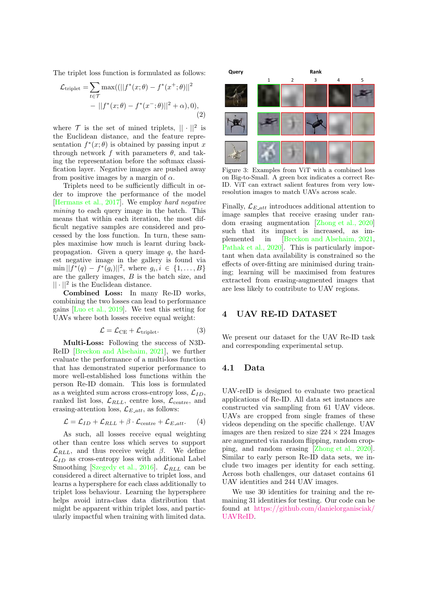<span id="page-5-2"></span>The triplet loss function is formulated as follows:

$$
\mathcal{L}_{\text{triplet}} = \sum_{t \in \mathcal{T}} \max((||f^*(x; \theta) - f^*(x^+; \theta)||^2 - ||f^*(x; \theta) - f^*(x^-; \theta)||^2 + \alpha), 0),
$$
\n(2)

where  $\mathcal T$  is the set of mined triplets,  $|| \cdot ||^2$  is the Euclidean distance, and the feature representation  $f^*(x; \theta)$  is obtained by passing input x through network f with parameters  $\theta$ , and taking the representation before the softmax classification layer. Negative images are pushed away from positive images by a margin of  $\alpha$ .

Triplets need to be sufficiently difficult in order to improve the performance of the model [\[Hermans et al., 2017\]](#page-10-10). We employ hard negative mining to each query image in the batch. This means that within each iteration, the most difficult negative samples are considered and processed by the loss function. In turn, these samples maximise how much is learnt during backpropagation. Given a query image q, the hardest negative image in the gallery is found via  $\min || f^*(q) - f^*(g_i) ||^2$ , where  $g_i, i \in \{1, ..., B\}$ are the gallery images, B is the batch size, and  $|| \cdot ||^2$  is the Euclidean distance.

Combined Loss: In many Re-ID works, combining the two losses can lead to performance gains [\[Luo et al., 2019\]](#page-10-3). We test this setting for UAVs where both losses receive equal weight:

<span id="page-5-0"></span>
$$
\mathcal{L} = \mathcal{L}_{CE} + \mathcal{L}_{triplet}.
$$
 (3)

Multi-Loss: Following the success of N3D-ReID [\[Breckon and Alsehaim, 2021\]](#page-9-2), we further evaluate the performance of a multi-loss function that has demonstrated superior performance to more well-established loss functions within the person Re-ID domain. This loss is formulated as a weighted sum across cross-entropy loss,  $\mathcal{L}_{ID}$ , ranked list loss,  $\mathcal{L}_{RLL}$ , centre loss,  $\mathcal{L}_{\text{centre}}$ , and erasing-attention loss,  $\mathcal{L}_{E}\_att}$ , as follows:

$$
\mathcal{L} = \mathcal{L}_{ID} + \mathcal{L}_{RLL} + \beta \cdot \mathcal{L}_{\text{centre}} + \mathcal{L}_{E\_att}. \tag{4}
$$

As such, all losses receive equal weighting other than centre loss which serves to support  $\mathcal{L}_{RLL}$ , and thus receive weight  $\beta$ . We define  $\mathcal{L}_{ID}$  as cross-entropy loss with additional Label Smoothing [\[Szegedy et al., 2016\]](#page-11-16).  $\mathcal{L}_{RLL}$  can be considered a direct alternative to triplet loss, and learns a hypersphere for each class additionally to triplet loss behaviour. Learning the hypersphere helps avoid intra-class data distribution that might be apparent within triplet loss, and particularly impactful when training with limited data.

<span id="page-5-1"></span>

Figure 3: Examples from ViT with a combined loss on Big-to-Small. A green box indicates a correct Re-ID. ViT can extract salient features from very lowresolution images to match UAVs across scale.

Finally,  $\mathcal{L}_{E}\_att}$  introduces additional attention to image samples that receive erasing under random erasing augmentation [\[Zhong et al., 2020\]](#page-11-17) such that its impact is increased, as implemented in [\[Breckon and Alsehaim, 2021,](#page-9-2) [Pathak et al., 2020\]](#page-11-18). This is particularly important when data availability is constrained so the effects of over-fitting are minimised during training; learning will be maximised from features extracted from erasing-augmented images that are less likely to contribute to UAV regions.

#### 4 UAV RE-ID DATASET

We present our dataset for the UAV Re-ID task and corresponding experimental setup.

#### 4.1 Data

UAV-reID is designed to evaluate two practical applications of Re-ID. All data set instances are constructed via sampling from 61 UAV videos. UAVs are cropped from single frames of these videos depending on the specific challenge. UAV images are then resized to size  $224 \times 224$  Images are augmented via random flipping, random cropping, and random erasing [\[Zhong et al., 2020\]](#page-11-17). Similar to early person Re-ID data sets, we include two images per identity for each setting. Across both challenges, our dataset contains 61 UAV identities and 244 UAV images.

We use 30 identities for training and the remaining 31 identities for testing. Our code can be found at [https://github.com/danielorganisciak/](https://github.com/danielorganisciak/UAVReID) [UAVReID.](https://github.com/danielorganisciak/UAVReID)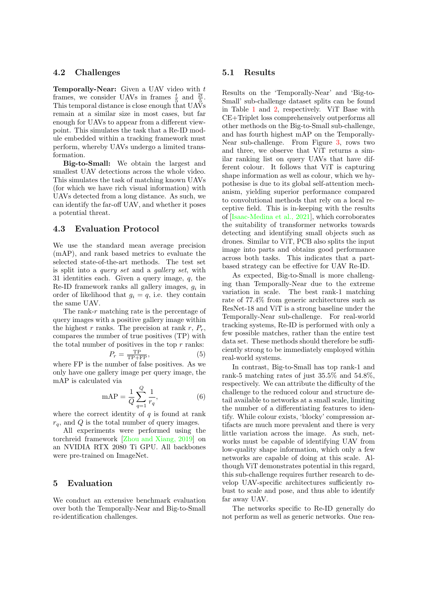#### <span id="page-6-0"></span>4.2 Challenges

**Temporally-Near:** Given a UAV video with  $t$ frames, we consider UAVs in frames  $\frac{t}{5}$  and  $\frac{2t}{5}$ . This temporal distance is close enough that UAVs remain at a similar size in most cases, but far enough for UAVs to appear from a different viewpoint. This simulates the task that a Re-ID module embedded within a tracking framework must perform, whereby UAVs undergo a limited transformation.

Big-to-Small: We obtain the largest and smallest UAV detections across the whole video. This simulates the task of matching known UAVs (for which we have rich visual information) with UAVs detected from a long distance. As such, we can identify the far-off UAV, and whether it poses a potential threat.

#### 4.3 Evaluation Protocol

We use the standard mean average precision (mAP), and rank based metrics to evaluate the selected state-of-the-art methods. The test set is split into a query set and a gallery set, with 31 identities each. Given a query image,  $q$ , the Re-ID framework ranks all gallery images,  $g_i$  in order of likelihood that  $g_i = q$ , i.e. they contain the same UAV.

The rank- $r$  matching rate is the percentage of query images with a positive gallery image within the highest r ranks. The precision at rank r,  $P_r$ , compares the number of true positives (TP) with the total number of positives in the top  $r$  ranks:

$$
P_r = \frac{\text{TP}}{\text{TP} + \text{FP}},\tag{5}
$$

where FP is the number of false positives. As we only have one gallery image per query image, the mAP is calculated via

$$
mAP = \frac{1}{Q} \sum_{q=1}^{Q} \frac{1}{r_q},
$$
 (6)

where the correct identity of  $q$  is found at rank  $r_q$ , and Q is the total number of query images.

All experiments were performed using the torchreid framework [\[Zhou and Xiang, 2019\]](#page-11-19) on an NVIDIA RTX 2080 Ti GPU. All backbones were pre-trained on ImageNet.

### 5 Evaluation

We conduct an extensive benchmark evaluation over both the Temporally-Near and Big-to-Small re-identification challenges.

#### 5.1 Results

Results on the 'Temporally-Near' and 'Big-to-Small' sub-challenge dataset splits can be found in Table [1](#page-7-0) and [2,](#page-7-1) respectively. ViT Base with CE+Triplet loss comprehensively outperforms all other methods on the Big-to-Small sub-challenge, and has fourth highest mAP on the Temporally-Near sub-challenge. From Figure [3,](#page-5-1) rows two and three, we observe that ViT returns a similar ranking list on query UAVs that have different colour. It follows that ViT is capturing shape information as well as colour, which we hypothesise is due to its global self-attention mechanism, yielding superior performance compared to convolutional methods that rely on a local receptive field. This is in-keeping with the results of [\[Isaac-Medina et al., 2021\]](#page-10-0), which corroborates the suitability of transformer networks towards detecting and identifying small objects such as drones. Similar to ViT, PCB also splits the input image into parts and obtains good performance across both tasks. This indicates that a partbased strategy can be effective for UAV Re-ID.

As expected, Big-to-Small is more challenging than Temporally-Near due to the extreme variation in scale. The best rank-1 matching rate of 77.4% from generic architectures such as ResNet-18 and ViT is a strong baseline under the Temporally-Near sub-challenge. For real-world tracking systems, Re-ID is performed with only a few possible matches, rather than the entire test data set. These methods should therefore be sufficiently strong to be immediately employed within real-world systems.

In contrast, Big-to-Small has top rank-1 and rank-5 matching rates of just 35.5% and 54.8%, respectively. We can attribute the difficulty of the challenge to the reduced colour and structure detail available to networks at a small scale, limiting the number of a differentiating features to identify. While colour exists, 'blocky' compression artifacts are much more prevalent and there is very little variation across the image. As such, networks must be capable of identifying UAV from low-quality shape information, which only a few networks are capable of doing at this scale. Although ViT demonstrates potential in this regard, this sub-challenge requires further research to develop UAV-specific architectures sufficiently robust to scale and pose, and thus able to identify far away UAV.

The networks specific to Re-ID generally do not perform as well as generic networks. One rea-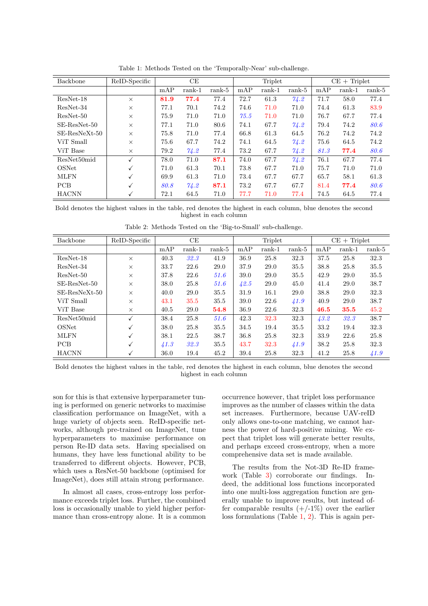<span id="page-7-0"></span>

| Backbone        | ReID-Specific | CE   |          |          | Triplet |          |          | $CE + Triplet$ |          |          |
|-----------------|---------------|------|----------|----------|---------|----------|----------|----------------|----------|----------|
|                 |               | mAP  | $rank-1$ | $rank-5$ | mAP     | $rank-1$ | $rank-5$ | mAP            | $rank-1$ | $rank-5$ |
| $ResNet-18$     | $\times$      | 81.9 | 77.4     | 77.4     | 72.7    | 61.3     | 74.2     | 71.7           | 58.0     | 77.4     |
| $ResNet-34$     | $\times$      | 77.1 | 70.1     | 74.2     | 74.6    | 71.0     | 71.0     | 74.4           | 61.3     | 83.9     |
| $ResNet-50$     | $\times$      | 75.9 | 71.0     | 71.0     | 75.5    | 71.0     | 71.0     | 76.7           | 67.7     | 77.4     |
| $SE-ResNet-50$  | $\times$      | 77.1 | 71.0     | 80.6     | 74.1    | 67.7     | 74.2     | 79.4           | 74.2     | 80.6     |
| $SE-ResNeXt-50$ | $\times$      | 75.8 | 71.0     | 77.4     | 66.8    | 61.3     | 64.5     | 76.2           | 74.2     | 74.2     |
| ViT Small       | $\times$      | 75.6 | 67.7     | 74.2     | 74.1    | 64.5     | 74.2     | 75.6           | 64.5     | 74.2     |
| ViT Base        | $\times$      | 79.2 | 74.2     | 77.4     | 73.2    | 67.7     | 74.2     | 81.3           | 77.4     | 80.6     |
| ResNet50mid     | $\checkmark$  | 78.0 | 71.0     | 87.1     | 74.0    | 67.7     | 74.2     | 76.1           | 67.7     | 77.4     |
| OSNet           | √             | 71.0 | 61.3     | 70.1     | 73.8    | 67.7     | 71.0     | 75.7           | 71.0     | 71.0     |
| <b>MLFN</b>     | √             | 69.9 | 61.3     | 71.0     | 73.4    | 67.7     | 67.7     | 65.7           | 58.1     | 61.3     |
| <b>PCB</b>      | √             | 80.8 | 74.2     | 87.1     | 73.2    | 67.7     | 67.7     | 81.4           | 77.4     | 80.6     |
| <b>HACNN</b>    | √             | 72.1 | 64.5     | 71.0     | 77.7    | 71.0     | 77.4     | 74.5           | 64.5     | 77.4     |

Table 1: Methods Tested on the 'Temporally-Near' sub-challenge.

Bold denotes the highest values in the table, red denotes the highest in each column, blue denotes the second highest in each column

<span id="page-7-1"></span>

| Backbone        | ReID-Specific | СE                |          |          | Triplet |          |          | $CE + Triplet$ |          |          |
|-----------------|---------------|-------------------|----------|----------|---------|----------|----------|----------------|----------|----------|
|                 |               | mAP               | $rank-1$ | $rank-5$ | mAP     | $rank-1$ | $rank-5$ | mAP            | $rank-1$ | $rank-5$ |
| ResNet-18       | $\times$      | 40.3              | 32.3     | 41.9     | 36.9    | 25.8     | 32.3     | 37.5           | 25.8     | 32.3     |
| $ResNet-34$     | $\times$      | 33.7              | 22.6     | 29.0     | 37.9    | 29.0     | 35.5     | 38.8           | 25.8     | 35.5     |
| $ResNet-50$     | $\times$      | 37.8              | 22.6     | 51.6     | 39.0    | 29.0     | 35.5     | 42.9           | 29.0     | 35.5     |
| $SE-ResNet-50$  | $\times$      | 38.0              | 25.8     | 51.6     | 42.5    | 29.0     | 45.0     | 41.4           | 29.0     | 38.7     |
| $SE-ResNeXt-50$ | $\times$      | 40.0              | 29.0     | 35.5     | 31.9    | 16.1     | 29.0     | 38.8           | 29.0     | 32.3     |
| ViT Small       | $\times$      | 43.1              | 35.5     | 35.5     | 39.0    | 22.6     | 41.9     | 40.9           | 29.0     | 38.7     |
| ViT Base        | $\times$      | 40.5              | 29.0     | 54.8     | 36.9    | 22.6     | 32.3     | 46.5           | 35.5     | 45.2     |
| ResNet50mid     |               | 38.4              | 25.8     | 51.6     | 42.3    | 32.3     | 32.3     | 43.2           | 32.3     | 38.7     |
| OSNet           | $\checkmark$  | 38.0              | 25.8     | 35.5     | 34.5    | 19.4     | 35.5     | 33.2           | 19.4     | 32.3     |
| <b>MLFN</b>     |               | 38.1              | 22.5     | 38.7     | 36.8    | 25.8     | 32.3     | 33.9           | 22.6     | 25.8     |
| <b>PCB</b>      |               | $\overline{41.3}$ | 32.3     | 35.5     | 43.7    | 32.3     | 41.9     | 38.2           | 25.8     | 32.3     |
| <b>HACNN</b>    | √             | 36.0              | 19.4     | 45.2     | 39.4    | 25.8     | 32.3     | 41.2           | 25.8     | 41.9     |

Table 2: Methods Tested on the 'Big-to-Small' sub-challenge.

Bold denotes the highest values in the table, red denotes the highest in each column, blue denotes the second highest in each column

son for this is that extensive hyperparameter tuning is performed on generic networks to maximise classification performance on ImageNet, with a huge variety of objects seen. ReID-specific networks, although pre-trained on ImageNet, tune hyperparameters to maximise performance on person Re-ID data sets. Having specialised on humans, they have less functional ability to be transferred to different objects. However, PCB, which uses a ResNet-50 backbone (optimised for ImageNet), does still attain strong performance.

In almost all cases, cross-entropy loss performance exceeds triplet loss. Further, the combined loss is occasionally unable to yield higher performance than cross-entropy alone. It is a common

occurrence however, that triplet loss performance improves as the number of classes within the data set increases. Furthermore, because UAV-reID only allows one-to-one matching, we cannot harness the power of hard-positive mining. We expect that triplet loss will generate better results, and perhaps exceed cross-entropy, when a more comprehensive data set is made available.

The results from the Not-3D Re-ID framework (Table [3\)](#page-8-0) corroborate our findings. Indeed, the additional loss functions incorporated into one multi-loss aggregation function are generally unable to improve results, but instead offer comparable results  $(+/-1\%)$  over the earlier loss formulations (Table [1,](#page-7-0) [2\)](#page-7-1). This is again per-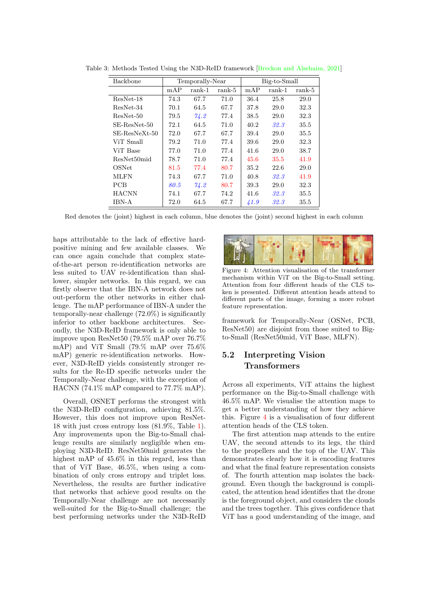| Backbone      |      | Temporally-Near |        | Big-to-Small |          |          |  |  |
|---------------|------|-----------------|--------|--------------|----------|----------|--|--|
|               | mAP  | rank-1          | rank-5 | mAP          | $rank-1$ | $rank-5$ |  |  |
| ResNet-18     | 74.3 | 67.7            | 71.0   | 36.4         | 25.8     | 29.0     |  |  |
| ResNet-34     | 70.1 | 64.5            | 67.7   | 37.8         | 29.0     | 32.3     |  |  |
| ResNet-50     | 79.5 | 74.2            | 77.4   | 38.5         | 29.0     | 32.3     |  |  |
| SE-ResNet-50  | 72.1 | 64.5            | 71.0   | 40.2         | 32.3     | 35.5     |  |  |
| SE-ResNeXt-50 | 72.0 | 67.7            | 67.7   | 39.4         | 29.0     | 35.5     |  |  |
| ViT Small     | 79.2 | 71.0            | 77.4   | 39.6         | 29.0     | 32.3     |  |  |
| ViT Base      | 77.0 | 71.0            | 77.4   | 41.6         | 29.0     | 38.7     |  |  |
| ResNet50mid   | 78.7 | 71.0            | 77.4   | 45.6         | 35.5     | 41.9     |  |  |
| OSNet         | 81.5 | 77.4            | 80.7   | 35.2         | 22.6     | 29.0     |  |  |
| <b>MLFN</b>   | 74.3 | 67.7            | 71.0   | 40.8         | 32.3     | 41.9     |  |  |
| <b>PCB</b>    | 80.5 | 74.2            | 80.7   | 39.3         | 29.0     | 32.3     |  |  |
| <b>HACNN</b>  | 74.1 | 67.7            | 74.2   | 41.6         | 32.3     | 35.5     |  |  |
| <b>IBN-A</b>  | 72.0 | 64.5            | 67.7   | 41.9         | 32.3     | 35.5     |  |  |

<span id="page-8-2"></span><span id="page-8-0"></span>Table 3: Methods Tested Using the N3D-ReID framework [\[Breckon and Alsehaim, 2021\]](#page-9-2)

Red denotes the (joint) highest in each column, blue denotes the (joint) second highest in each column

haps attributable to the lack of effective hardpositive mining and few available classes. We can once again conclude that complex stateof-the-art person re-identification networks are less suited to UAV re-identification than shallower, simpler networks. In this regard, we can firstly observe that the IBN-A network does not out-perform the other networks in either challenge. The mAP performance of IBN-A under the temporally-near challenge (72.0%) is significantly inferior to other backbone architectures. Secondly, the N3D-ReID framework is only able to improve upon ResNet50 (79.5% mAP over 76.7% mAP) and ViT Small (79.% mAP over 75.6% mAP) generic re-identification networks. However, N3D-ReID yields consistently stronger results for the Re-ID specific networks under the Temporally-Near challenge, with the exception of HACNN (74.1% mAP compared to 77.7% mAP).

Overall, OSNET performs the strongest with the N3D-ReID configuration, achieving 81.5%. However, this does not improve upon ResNet-18 with just cross entropy loss (81.9%, Table [1\)](#page-7-0). Any improvements upon the Big-to-Small challenge results are similarly negligible when employing N3D-ReID. ResNet50mid generates the highest mAP of 45.6% in this regard, less than that of ViT Base, 46.5%, when using a combination of only cross entropy and triplet loss. Nevertheless, the results are further indicative that networks that achieve good results on the Temporally-Near challenge are not necessarily well-suited for the Big-to-Small challenge; the best performing networks under the N3D-ReID

<span id="page-8-1"></span>

Figure 4: Attention visualisation of the transformer mechanism within ViT on the Big-to-Small setting. Attention from four different heads of the CLS token is presented. Different attention heads attend to different parts of the image, forming a more robust feature representation.

framework for Temporally-Near (OSNet, PCB, ResNet50) are disjoint from those suited to Bigto-Small (ResNet50mid, ViT Base, MLFN).

## 5.2 Interpreting Vision Transformers

Across all experiments, ViT attains the highest performance on the Big-to-Small challenge with 46.5% mAP. We visualise the attention maps to get a better understanding of how they achieve this. Figure [4](#page-8-1) is a visualisation of four different attention heads of the CLS token.

The first attention map attends to the entire UAV, the second attends to its legs, the third to the propellers and the top of the UAV. This demonstrates clearly how it is encoding features and what the final feature representation consists of. The fourth attention map isolates the background. Even though the background is complicated, the attention head identifies that the drone is the foreground object, and considers the clouds and the trees together. This gives confidence that ViT has a good understanding of the image, and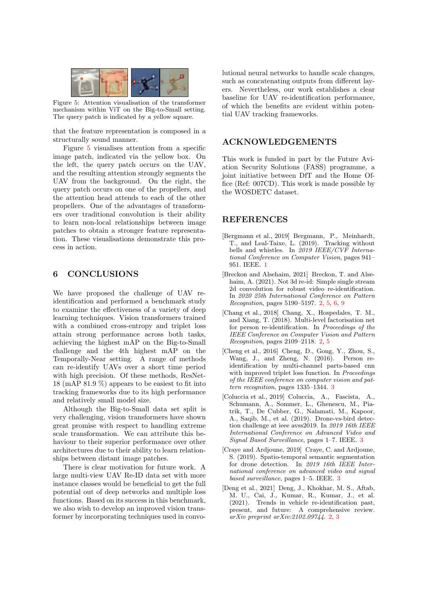<span id="page-9-7"></span>

Figure 5: Attention visualisation of the transformer mechanism within ViT on the Big-to-Small setting. The query patch is indicated by a yellow square.

that the feature representation is composed in a structurally sound manner.

Figure [5](#page-9-7) visualises attention from a specific image patch, indicated via the yellow box. On the left, the query patch occurs on the UAV, and the resulting attention strongly segments the UAV from the background. On the right, the query patch occurs on one of the propellers, and the attention head attends to each of the other propellers. One of the advantages of transformers over traditional convolution is their ability to learn non-local relationships between image patches to obtain a stronger feature representation. These visualisations demonstrate this process in action.

## 6 CONCLUSIONS

We have proposed the challenge of UAV reidentification and performed a benchmark study to examine the effectiveness of a variety of deep learning techniques. Vision transformers trained with a combined cross-entropy and triplet loss attain strong performance across both tasks, achieving the highest mAP on the Big-to-Small challenge and the 4th highest mAP on the Temporally-Near setting. A range of methods can re-identify UAVs over a short time period with high precision. Of these methods, ResNet-18 (mAP 81.9 %) appears to be easiest to fit into tracking frameworks due to its high performance and relatively small model size.

Although the Big-to-Small data set split is very challenging, vision transformers have shown great promise with respect to handling extreme scale transformation. We can attribute this behaviour to their superior performance over other architectures due to their ability to learn relationships between distant image patches.

There is clear motivation for future work. A large multi-view UAV Re-ID data set with more instance classes would be beneficial to get the full potential out of deep networks and multiple loss functions. Based on its success in this benchmark, we also wish to develop an improved vision transformer by incorporating techniques used in convo-

lutional neural networks to handle scale changes, such as concatenating outputs from different layers. Nevertheless, our work establishes a clear baseline for UAV re-identification performance, of which the benefits are evident within potential UAV tracking frameworks.

#### ACKNOWLEDGEMENTS

This work is funded in part by the Future Aviation Security Solutions (FASS) programme, a joint initiative between DfT and the Home Office (Ref: 007CD). This work is made possible by the WOSDETC dataset.

#### REFERENCES

- <span id="page-9-0"></span>[Bergmann et al., 2019] Bergmann, P., Meinhardt, T., and Leal-Taixe, L. (2019). Tracking without bells and whistles. In 2019 IEEE/CVF International Conference on Computer Vision, pages 941– 951. IEEE. [1](#page-0-0)
- <span id="page-9-2"></span>[Breckon and Alsehaim, 2021] Breckon, T. and Alsehaim, A. (2021). Not 3d re-id: Simple single stream 2d convolution for robust video re-identification. In 2020 25th International Conference on Pattern Recognition, pages 5190–5197. [2,](#page-1-1) [5,](#page-4-0) [6,](#page-5-2) [9](#page-8-2)
- <span id="page-9-3"></span>[Chang et al., 2018] Chang, X., Hospedales, T. M., and Xiang, T. (2018). Multi-level factorisation net for person re-identification. In Proceedings of the IEEE Conference on Computer Vision and Pattern Recognition, pages 2109–2118. [2,](#page-1-1) [5](#page-4-0)
- <span id="page-9-4"></span>[Cheng et al., 2016] Cheng, D., Gong, Y., Zhou, S., Wang, J., and Zheng, N. (2016). Person reidentification by multi-channel parts-based cnn with improved triplet loss function. In Proceedings of the IEEE conference on computer vision and pattern recognition, pages 1335–1344. [3](#page-2-0)
- <span id="page-9-6"></span>[Coluccia et al., 2019] Coluccia, A., Fascista, A., Schumann, A., Sommer, L., Ghenescu, M., Piatrik, T., De Cubber, G., Nalamati, M., Kapoor, A., Saqib, M., et al. (2019). Drone-vs-bird detection challenge at ieee avss2019. In 2019 16th IEEE International Conference on Advanced Video and Signal Based Surveillance, pages 1–7. IEEE. [3](#page-2-0)
- <span id="page-9-5"></span>[Craye and Ardjoune, 2019] Craye, C. and Ardjoune, S. (2019). Spatio-temporal semantic segmentation for drone detection. In 2019 16th IEEE International conference on advanced video and signal based surveillance, pages 1–5. IEEE. [3](#page-2-0)
- <span id="page-9-1"></span>[Deng et al., 2021] Deng, J., Khokhar, M. S., Aftab, M. U., Cai, J., Kumar, R., Kumar, J., et al. (2021). Trends in vehicle re-identification past, present, and future: A comprehensive review. arXiv preprint arXiv:2102.09744. [2,](#page-1-1) [3](#page-2-0)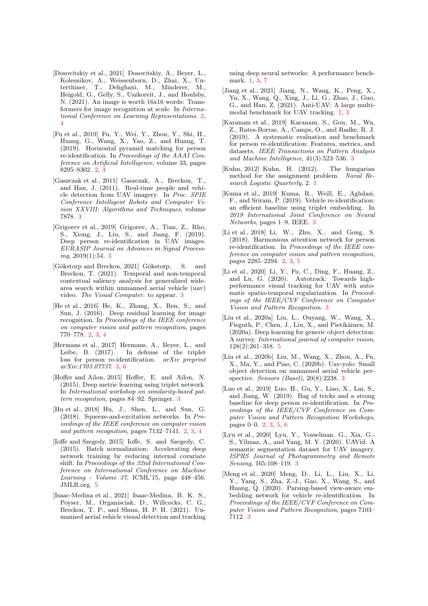- <span id="page-10-7"></span>[Dosovitskiy et al., 2021] Dosovitskiy, A., Beyer, L., Kolesnikov, A., Weissenborn, D., Zhai, X., Unterthiner, T., Dehghani, M., Minderer, M., Heigold, G., Gelly, S., Uszkoreit, J., and Houlsby, N. (2021). An image is worth 16x16 words: Transformers for image recognition at scale. In International Conference on Learning Representations. [2,](#page-1-1) [4](#page-3-2)
- <span id="page-10-4"></span>[Fu et al., 2019] Fu, Y., Wei, Y., Zhou, Y., Shi, H., Huang, G., Wang, X., Yao, Z., and Huang, T. (2019). Horizontal pyramid matching for person re-identification. In Proceedings of the AAAI Conference on Artificial Intelligence, volume 33, pages 8295–8302. [2,](#page-1-1) [3](#page-2-0)
- <span id="page-10-14"></span>[Gaszczak et al., 2011] Gaszczak, A., Breckon, T., and Han, J. (2011). Real-time people and vehicle detection from UAV imagery. In Proc. SPIE Conference Intelligent Robots and Computer Vision XXVIII: Algorithms and Techniques, volume 7878. [3](#page-2-0)
- <span id="page-10-18"></span>[Grigorev et al., 2019] Grigorev, A., Tian, Z., Rho, S., Xiong, J., Liu, S., and Jiang, F. (2019). Deep person re-identification in UAV images. EURASIP Journal on Advances in Signal Processing, 2019(1):54. [3](#page-2-0)
- <span id="page-10-15"></span>[Gökstorp and Breckon, 2021] Gökstorp, S. and Breckon, T. (2021). Temporal and non-temporal contextual saliency analysis for generalized widearea search within unmanned aerial vehicle (uav) video. The Visual Computer. to appear. [3](#page-2-0)
- <span id="page-10-5"></span>[He et al., 2016] He, K., Zhang, X., Ren, S., and Sun, J. (2016). Deep residual learning for image recognition. In Proceedings of the IEEE conference on computer vision and pattern recognition, pages 770–778. [2,](#page-1-1) [3,](#page-2-0) [4](#page-3-2)
- <span id="page-10-10"></span>[Hermans et al., 2017] Hermans, A., Beyer, L., and Leibe, B. (2017). In defense of the triplet loss for person re-identification. arXiv preprint arXiv:1703.07737. [3,](#page-2-0) [6](#page-5-2)
- <span id="page-10-12"></span>[Hoffer and Ailon, 2015] Hoffer, E. and Ailon, N. (2015). Deep metric learning using triplet network. In International workshop on similarity-based pattern recognition, pages 84–92. Springer. [3](#page-2-0)
- <span id="page-10-6"></span>[Hu et al., 2018] Hu, J., Shen, L., and Sun, G. (2018). Squeeze-and-excitation networks. In Proceedings of the IEEE conference on computer vision and pattern recognition, pages 7132–7141. [2,](#page-1-1) [3,](#page-2-0) [4](#page-3-2)
- <span id="page-10-21"></span>[Ioffe and Szegedy, 2015] Ioffe, S. and Szegedy, C. (2015). Batch normalization: Accelerating deep network training by reducing internal covariate shift. In Proceedings of the 32nd International Conference on International Conference on Machine Learning - Volume 37, ICML'15, page 448–456. JMLR.org. [5](#page-4-0)
- <span id="page-10-0"></span>[Isaac-Medina et al., 2021] Isaac-Medina, B. K. S., Poyser, M., Organisciak, D., Willcocks, C. G., Breckon, T. P., and Shum, H. P. H. (2021). Unmanned aerial vehicle visual detection and tracking

using deep neural networks: A performance benchmark. [1,](#page-0-0) [3,](#page-2-0) [7](#page-6-0)

- <span id="page-10-1"></span>[Jiang et al., 2021] Jiang, N., Wang, K., Peng, X., Yu, X., Wang, Q., Xing, J., Li, G., Zhao, J., Guo, G., and Han, Z. (2021). Anti-UAV: A large multimodal benchmark for UAV tracking. [1,](#page-0-0) [3](#page-2-0)
- <span id="page-10-9"></span>[Karanam et al., 2019] Karanam, S., Gou, M., Wu, Z., Rates-Borras, A., Camps, O., and Radke, R. J. (2019). A systematic evaluation and benchmark for person re-identification: Features, metrics, and datasets. IEEE Transactions on Pattern Analysis and Machine Intelligence, 41(3):523–536. [3](#page-2-0)
- <span id="page-10-2"></span>[Kuhn, 2012] Kuhn, H. (2012). The hungarian method for the assignment problem. Naval Research Logistic Quarterly, 2. [1](#page-0-0)
- <span id="page-10-13"></span>[Kuma et al., 2019] Kuma, R., Weill, E., Aghdasi, F., and Sriram, P. (2019). Vehicle re-identification: an efficient baseline using triplet embedding. In 2019 International Joint Conference on Neural Networks, pages 1–9. IEEE. [3](#page-2-0)
- <span id="page-10-8"></span>[Li et al., 2018] Li, W., Zhu, X., and Gong, S. (2018). Harmonious attention network for person re-identification. In Proceedings of the IEEE conference on computer vision and pattern recognition, pages 2285–2294. [2,](#page-1-1) [3,](#page-2-0) [5](#page-4-0)
- <span id="page-10-17"></span>[Li et al., 2020] Li, Y., Fu, C., Ding, F., Huang, Z., and Lu, G. (2020). Autotrack: Towards highperformance visual tracking for UAV with automatic spatio-temporal regularization. In Proceedings of the IEEE/CVF Conference on Computer Vision and Pattern Recognition. [3](#page-2-0)
- <span id="page-10-20"></span>[Liu et al., 2020a] Liu, L., Ouyang, W., Wang, X., Fieguth, P., Chen, J., Liu, X., and Pietikäinen, M. (2020a). Deep learning for generic object detection: A survey. International journal of computer vision, 128(2):261–318. [5](#page-4-0)
- <span id="page-10-19"></span>[Liu et al., 2020b] Liu, M., Wang, X., Zhou, A., Fu, X., Ma, Y., and Piao, C. (2020b). Uav-yolo: Small object detection on unmanned aerial vehicle perspective. Sensors (Basel), 20(8):2238. [3](#page-2-0)
- <span id="page-10-3"></span>[Luo et al., 2019] Luo, H., Gu, Y., Liao, X., Lai, S., and Jiang, W. (2019). Bag of tricks and a strong baseline for deep person re-identification. In Proceedings of the IEEE/CVF Conference on Computer Vision and Pattern Recognition Workshops, pages 0–0. [2,](#page-1-1) [3,](#page-2-0) [5,](#page-4-0) [6](#page-5-2)
- <span id="page-10-16"></span>[Lyu et al., 2020] Lyu, Y., Vosselman, G., Xia, G.- S., Yilmaz, A., and Yang, M. Y. (2020). UAVid: A semantic segmentation dataset for UAV imagery. ISPRS Journal of Photogrammetry and Remote Sensing, 165:108–119. [3](#page-2-0)
- <span id="page-10-11"></span>[Meng et al., 2020] Meng, D., Li, L., Liu, X., Li, Y., Yang, S., Zha, Z.-J., Gao, X., Wang, S., and Huang, Q. (2020). Parsing-based view-aware embedding network for vehicle re-identification. In Proceedings of the IEEE/CVF Conference on Computer Vision and Pattern Recognition, pages 7103– 7112. [3](#page-2-0)